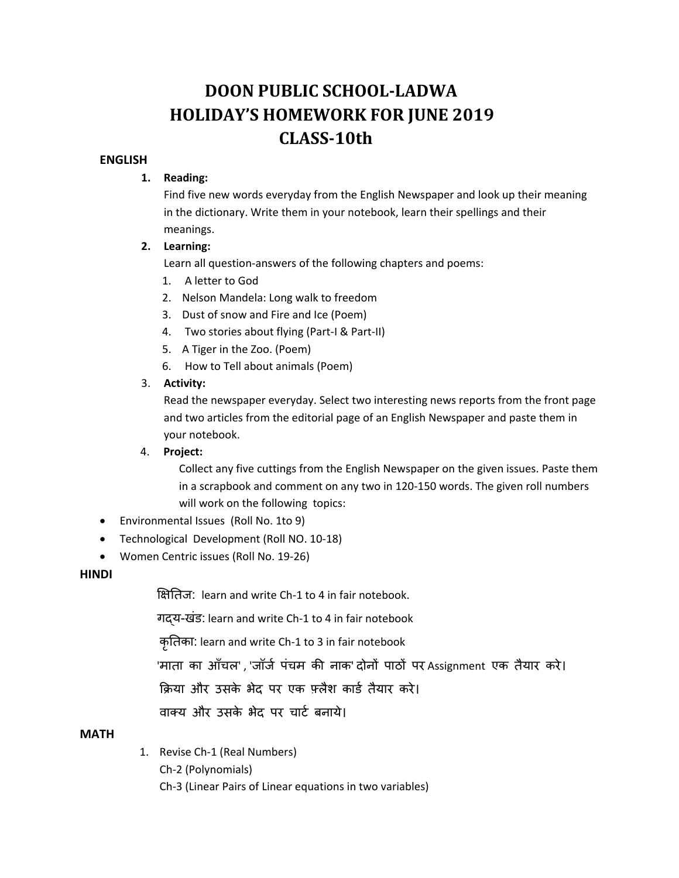# **DOON PUBLIC SCHOOL‐LADWA HOLIDAY'S HOMEWORK FOR JUNE 2019 CLASS**–10th

# **ENGLISH**

#### **1. Reading:**

Find five new words everyday from the English Newspaper and look up their meaning in the dictionary. Write them in your notebook, learn their spellings and their meanings.

#### **2. Learning:**

Learn all question-answers of the following chapters and poems:

- 1. A letter to God
- 2. Nelson Mandela: Long walk to freedom
- 3. Dust of snow and Fire and Ice (Poem)
- 4. Two stories about flying (Part-I & Part-II)
- 5. A Tiger in the Zoo. (Poem)
- 6. How to Tell about animals (Poem)

# 3. **Activity:**

Read the newspaper everyday. Select two interesting news reports from the front page and two articles from the editorial page of an English Newspaper and paste them in your notebook.

#### 4. **Project:**

 Collect any five cuttings from the English Newspaper on the given issues. Paste them in a scrapbook and comment on any two in 120‐150 words. The given roll numbers will work on the following topics:

- Environmental Issues (Roll No. 1to 9)
- Technological Development (Roll NO. 10‐18)
- Women Centric issues (Roll No. 19‐26)

#### **HINDI**

िक्षितज: learn and write Ch‐1 to 4 in fair notebook.

गɮय-खंड: learn and write Ch‐1 to 4 in fair notebook

कृितका: learn and write Ch‐1 to 3 in fair notebook

'माता का आँचल' , 'जॉर्ज पंचम की नाक' दोनों पाठों पर Assignment एक तैयार करे।

क्रिया और उसके भेद पर एक फ़्लैश कार्ड तैयार करे।

वाक्य और उसके भेद पर चार्ट बनाये।

#### **MATH**

1. Revise Ch‐1 (Real Numbers)

Ch‐2 (Polynomials)

Ch‐3 (Linear Pairs of Linear equations in two variables)